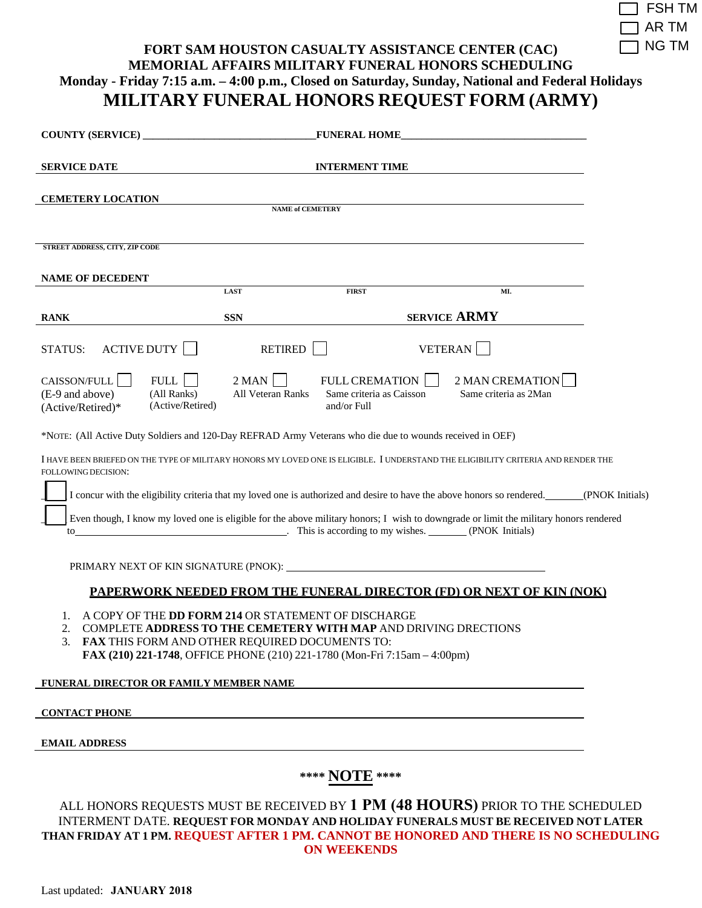| $\overline{\phantom{a}}$ FSH TM |
|---------------------------------|
| $\Box$ ar tm                    |
| $\Box$ NG TM                    |

## **FORT SAM HOUSTON CASUALTY ASSISTANCE CENTER (CAC) MEMORIAL AFFAIRS MILITARY FUNERAL HONORS SCHEDULING Monday - Friday 7:15 a.m. – 4:00 p.m., Closed on Saturday, Sunday, National and Federal Holidays MILITARY FUNERAL HONORS REQUEST FORM (ARMY)**

|                                                                                                                                                                                                                                                                       |                                                                                 | <b>FUNERAL HOME</b>                                           |                                                                                                                                                                      |  |
|-----------------------------------------------------------------------------------------------------------------------------------------------------------------------------------------------------------------------------------------------------------------------|---------------------------------------------------------------------------------|---------------------------------------------------------------|----------------------------------------------------------------------------------------------------------------------------------------------------------------------|--|
| <b>SERVICE DATE</b>                                                                                                                                                                                                                                                   |                                                                                 | <b>INTERMENT TIME</b>                                         |                                                                                                                                                                      |  |
| <b>CEMETERY LOCATION</b>                                                                                                                                                                                                                                              | <b>NAME of CEMETERY</b>                                                         |                                                               |                                                                                                                                                                      |  |
| <b>STREET ADDRESS, CITY, ZIP CODE</b>                                                                                                                                                                                                                                 |                                                                                 |                                                               |                                                                                                                                                                      |  |
| <b>NAME OF DECEDENT</b>                                                                                                                                                                                                                                               |                                                                                 |                                                               |                                                                                                                                                                      |  |
|                                                                                                                                                                                                                                                                       | <b>LAST</b>                                                                     | <b>FIRST</b>                                                  | MI.                                                                                                                                                                  |  |
| <b>RANK</b>                                                                                                                                                                                                                                                           | <b>SSN</b>                                                                      |                                                               | <b>SERVICE ARMY</b>                                                                                                                                                  |  |
| <b>ACTIVE DUTY</b><br>STATUS:                                                                                                                                                                                                                                         | <b>RETIRED</b>                                                                  |                                                               | <b>VETERAN</b>                                                                                                                                                       |  |
| CAISSON/FULL  <br>(E-9 and above)<br>(Active/Retired)*                                                                                                                                                                                                                | $2$ MAN $\vert$<br>FULL<br>(All Ranks)<br>All Veteran Ranks<br>(Active/Retired) | FULL CREMATION    <br>Same criteria as Caisson<br>and/or Full | 2 MAN CREMATION<br>Same criteria as 2Man                                                                                                                             |  |
| *NOTE: (All Active Duty Soldiers and 120-Day REFRAD Army Veterans who die due to wounds received in OEF)                                                                                                                                                              |                                                                                 |                                                               |                                                                                                                                                                      |  |
| I HAVE BEEN BRIEFED ON THE TYPE OF MILITARY HONORS MY LOVED ONE IS ELIGIBLE. I UNDERSTAND THE ELIGIBILITY CRITERIA AND RENDER THE<br>FOLLOWING DECISION:                                                                                                              |                                                                                 |                                                               |                                                                                                                                                                      |  |
| I concur with the eligibility criteria that my loved one is authorized and desire to have the above honors so rendered. (PNOK Initials)                                                                                                                               |                                                                                 |                                                               |                                                                                                                                                                      |  |
| Even though, I know my loved one is eligible for the above military honors; I wish to downgrade or limit the military honors rendered<br>to                                                                                                                           |                                                                                 |                                                               |                                                                                                                                                                      |  |
|                                                                                                                                                                                                                                                                       |                                                                                 |                                                               |                                                                                                                                                                      |  |
| <b>PAPERWORK NEEDED FROM THE FUNERAL DIRECTOR (FD) OR NEXT OF KIN (NOK)</b>                                                                                                                                                                                           |                                                                                 |                                                               |                                                                                                                                                                      |  |
| A COPY OF THE DD FORM 214 OR STATEMENT OF DISCHARGE<br><b>COMPLETE ADDRESS TO THE CEMETERY WITH MAP AND DRIVING DRECTIONS</b><br>2.<br>3. FAX THIS FORM AND OTHER REQUIRED DOCUMENTS TO:<br>FAX (210) 221-1748, OFFICE PHONE (210) 221-1780 (Mon-Fri 7:15am - 4:00pm) |                                                                                 |                                                               |                                                                                                                                                                      |  |
| FUNERAL DIRECTOR OR FAMILY MEMBER NAME                                                                                                                                                                                                                                |                                                                                 |                                                               |                                                                                                                                                                      |  |
| <b>CONTACT PHONE</b>                                                                                                                                                                                                                                                  |                                                                                 |                                                               |                                                                                                                                                                      |  |
| <b>EMAIL ADDRESS</b>                                                                                                                                                                                                                                                  |                                                                                 |                                                               |                                                                                                                                                                      |  |
| **** NOTE ****                                                                                                                                                                                                                                                        |                                                                                 |                                                               |                                                                                                                                                                      |  |
|                                                                                                                                                                                                                                                                       |                                                                                 |                                                               | ALL HONORS REQUESTS MUST BE RECEIVED BY 1 PM (48 HOURS) PRIOR TO THE SCHEDULED<br>INTERMENT DATE. REQUEST FOR MONDAY AND HOLIDAY FUNERALS MUST BE RECEIVED NOT LATER |  |

**THAN FRIDAY AT 1 PM. REQUEST AFTER 1 PM. CANNOT BE HONORED AND THERE IS NO SCHEDULING ON WEEKENDS**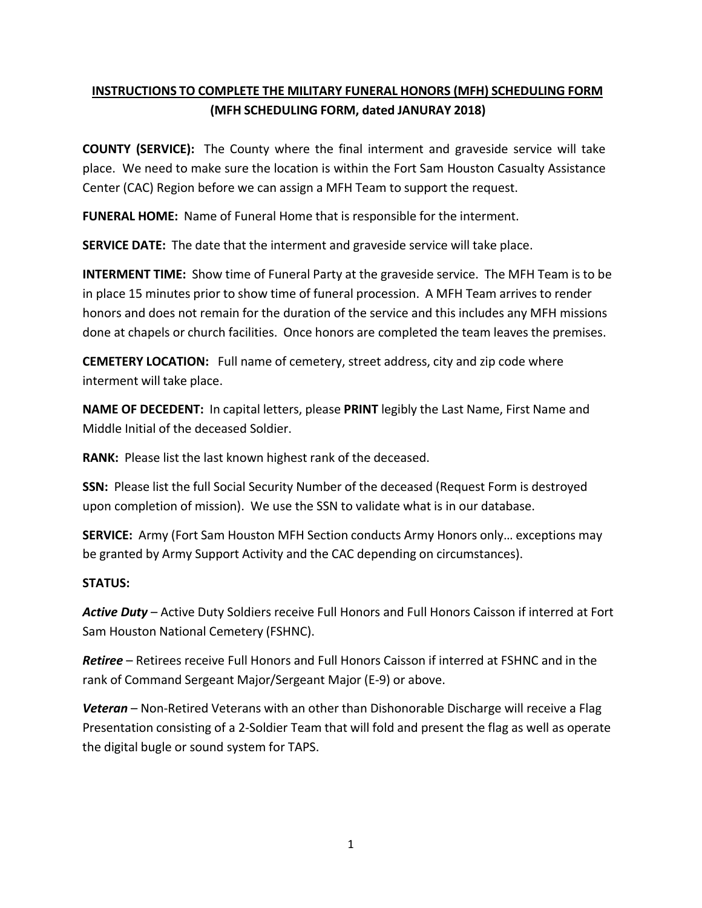## **INSTRUCTIONS TO COMPLETE THE MILITARY FUNERAL HONORS (MFH) SCHEDULING FORM (MFH SCHEDULING FORM, dated JANURAY 2018)**

**COUNTY (SERVICE):** The County where the final interment and graveside service will take place. We need to make sure the location is within the Fort Sam Houston Casualty Assistance Center (CAC) Region before we can assign a MFH Team to support the request.

**FUNERAL HOME:** Name of Funeral Home that is responsible for the interment.

**SERVICE DATE:** The date that the interment and graveside service will take place.

**INTERMENT TIME:** Show time of Funeral Party at the graveside service. The MFH Team is to be in place 15 minutes prior to show time of funeral procession. A MFH Team arrives to render honors and does not remain for the duration of the service and this includes any MFH missions done at chapels or church facilities. Once honors are completed the team leaves the premises.

**CEMETERY LOCATION:** Full name of cemetery, street address, city and zip code where interment will take place.

**NAME OF DECEDENT:** In capital letters, please **PRINT** legibly the Last Name, First Name and Middle Initial of the deceased Soldier.

**RANK:** Please list the last known highest rank of the deceased.

**SSN:** Please list the full Social Security Number of the deceased (Request Form is destroyed upon completion of mission). We use the SSN to validate what is in our database.

**SERVICE:** Army (Fort Sam Houston MFH Section conducts Army Honors only… exceptions may be granted by Army Support Activity and the CAC depending on circumstances).

## **STATUS:**

*Active Duty* – Active Duty Soldiers receive Full Honors and Full Honors Caisson if interred at Fort Sam Houston National Cemetery (FSHNC).

*Retiree* – Retirees receive Full Honors and Full Honors Caisson if interred at FSHNC and in the rank of Command Sergeant Major/Sergeant Major (E-9) or above.

*Veteran* – Non-Retired Veterans with an other than Dishonorable Discharge will receive a Flag Presentation consisting of a 2-Soldier Team that will fold and present the flag as well as operate the digital bugle or sound system for TAPS.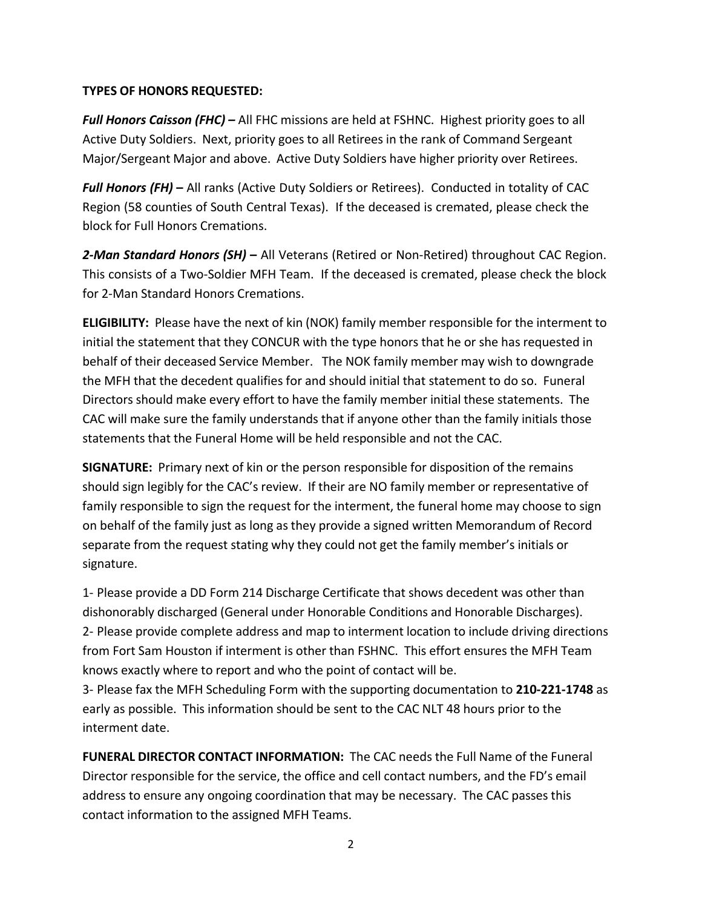## **TYPES OF HONORS REQUESTED:**

*Full Honors Caisson (FHC) –* All FHC missions are held at FSHNC. Highest priority goes to all Active Duty Soldiers. Next, priority goes to all Retirees in the rank of Command Sergeant Major/Sergeant Major and above. Active Duty Soldiers have higher priority over Retirees.

*Full Honors (FH)* **–** All ranks (Active Duty Soldiers or Retirees). Conducted in totality of CAC Region (58 counties of South Central Texas). If the deceased is cremated, please check the block for Full Honors Cremations.

*2-Man Standard Honors (SH)* **–** All Veterans (Retired or Non-Retired) throughout CAC Region. This consists of a Two-Soldier MFH Team. If the deceased is cremated, please check the block for 2-Man Standard Honors Cremations.

**ELIGIBILITY:** Please have the next of kin (NOK) family member responsible for the interment to initial the statement that they CONCUR with the type honors that he or she has requested in behalf of their deceased Service Member. The NOK family member may wish to downgrade the MFH that the decedent qualifies for and should initial that statement to do so. Funeral Directors should make every effort to have the family member initial these statements. The CAC will make sure the family understands that if anyone other than the family initials those statements that the Funeral Home will be held responsible and not the CAC.

**SIGNATURE:** Primary next of kin or the person responsible for disposition of the remains should sign legibly for the CAC's review. If their are NO family member or representative of family responsible to sign the request for the interment, the funeral home may choose to sign on behalf of the family just as long as they provide a signed written Memorandum of Record separate from the request stating why they could not get the family member's initials or signature.

1- Please provide a DD Form 214 Discharge Certificate that shows decedent was other than dishonorably discharged (General under Honorable Conditions and Honorable Discharges). 2- Please provide complete address and map to interment location to include driving directions from Fort Sam Houston if interment is other than FSHNC. This effort ensures the MFH Team knows exactly where to report and who the point of contact will be.

3- Please fax the MFH Scheduling Form with the supporting documentation to **210-221-1748** as early as possible. This information should be sent to the CAC NLT 48 hours prior to the interment date.

**FUNERAL DIRECTOR CONTACT INFORMATION:** The CAC needs the Full Name of the Funeral Director responsible for the service, the office and cell contact numbers, and the FD's email address to ensure any ongoing coordination that may be necessary. The CAC passes this contact information to the assigned MFH Teams.